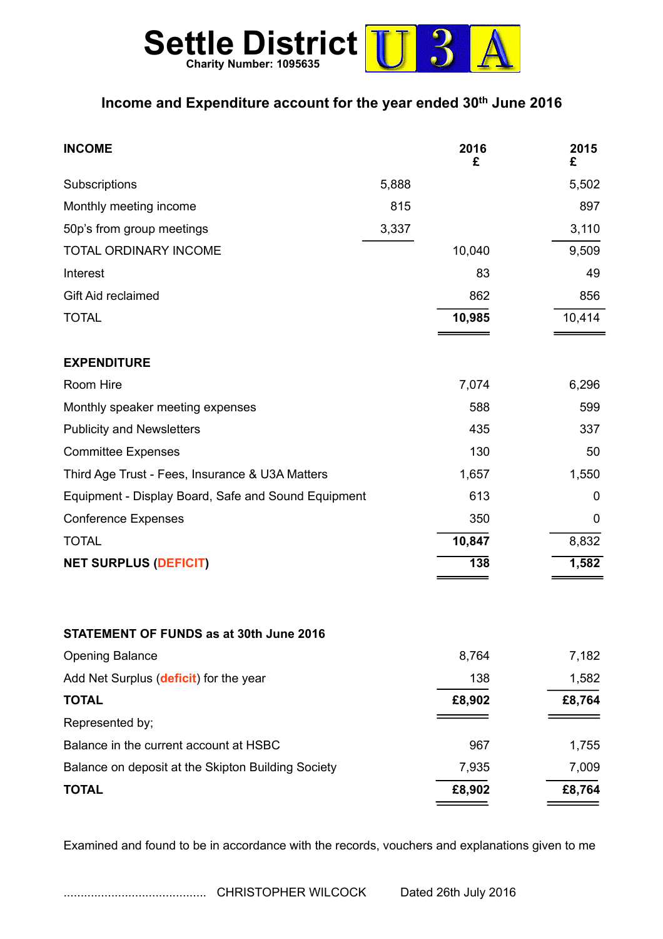

## **Income and Expenditure account for the year ended 30th June 2016**

| <b>INCOME</b>                                       | 2016<br>£ | 2015<br>£ |
|-----------------------------------------------------|-----------|-----------|
| Subscriptions<br>5,888                              |           | 5,502     |
| 815<br>Monthly meeting income                       |           | 897       |
| 3,337<br>50p's from group meetings                  |           | 3,110     |
| <b>TOTAL ORDINARY INCOME</b>                        | 10,040    | 9,509     |
| Interest                                            | 83        | 49        |
| Gift Aid reclaimed                                  | 862       | 856       |
| <b>TOTAL</b>                                        | 10,985    | 10,414    |
| <b>EXPENDITURE</b>                                  |           |           |
| Room Hire                                           | 7,074     | 6,296     |
| Monthly speaker meeting expenses                    | 588       | 599       |
| <b>Publicity and Newsletters</b>                    | 435       | 337       |
| <b>Committee Expenses</b>                           | 130       | 50        |
| Third Age Trust - Fees, Insurance & U3A Matters     | 1,657     | 1,550     |
| Equipment - Display Board, Safe and Sound Equipment | 613       | 0         |
| <b>Conference Expenses</b>                          | 350       | 0         |
| <b>TOTAL</b>                                        | 10,847    | 8,832     |
| <b>NET SURPLUS (DEFICIT)</b>                        | 138       | 1,582     |
| STATEMENT OF FUNDS as at 30th June 2016             |           |           |
| <b>Opening Balance</b>                              | 8,764     | 7,182     |
| Add Net Surplus (deficit) for the year              | 138       | 1,582     |
| <b>TOTAL</b>                                        | £8,902    | £8,764    |
| Represented by;                                     |           |           |
| Balance in the current account at HSBC              | 967       | 1,755     |
| Balance on deposit at the Skipton Building Society  | 7,935     | 7,009     |
| <b>TOTAL</b>                                        | £8,902    | £8,764    |

Examined and found to be in accordance with the records, vouchers and explanations given to me